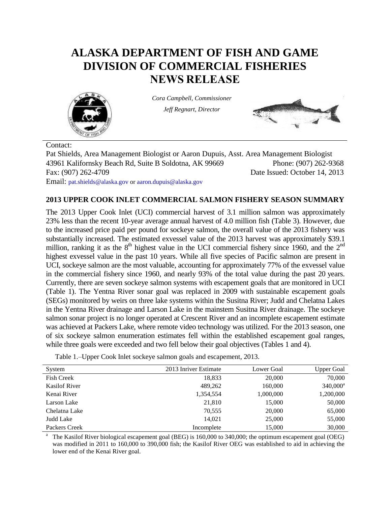# **ALASKA DEPARTMENT OF FISH AND GAME DIVISION OF COMMERCIAL FISHERIES NEWS RELEASE**



*Cora Campbell, Commissioner*

*Jeff Regnart, Director*



Contact:

Pat Shields, Area Management Biologist or Aaron Dupuis, Asst. Area Management Biologist 43961 Kalifornsky Beach Rd, Suite B Soldotna, AK 99669 Phone: (907) 262-9368 Fax: (907) 262-4709 Date Issued: October 14, 2013 Email: [pat.shields@alaska.gov](mailto:pat.shields@alaska.gov) o[r aaron.dupuis@alaska.gov](mailto:aaron.dupuis@alaska.gov)

# **2013 UPPER COOK INLET COMMERCIAL SALMON FISHERY SEASON SUMMARY**

The 2013 Upper Cook Inlet (UCI) commercial harvest of 3.1 million salmon was approximately 23% less than the recent 10-year average annual harvest of 4.0 million fish (Table 3). However, due to the increased price paid per pound for sockeye salmon, the overall value of the 2013 fishery was substantially increased. The estimated exvessel value of the 2013 harvest was approximately \$39.1 million, ranking it as the  $8<sup>th</sup>$  highest value in the UCI commercial fishery since 1960, and the  $2<sup>nd</sup>$ highest exvessel value in the past 10 years. While all five species of Pacific salmon are present in UCI, sockeye salmon are the most valuable, accounting for approximately 77% of the exvessel value in the commercial fishery since 1960, and nearly 93% of the total value during the past 20 years. Currently, there are seven sockeye salmon systems with escapement goals that are monitored in UCI (Table 1). The Yentna River sonar goal was replaced in 2009 with sustainable escapement goals (SEGs) monitored by weirs on three lake systems within the Susitna River; Judd and Chelatna Lakes in the Yentna River drainage and Larson Lake in the mainstem Susitna River drainage. The sockeye salmon sonar project is no longer operated at Crescent River and an incomplete escapement estimate was achieved at Packers Lake, where remote video technology was utilized. For the 2013 season, one of six sockeye salmon enumeration estimates fell within the established escapement goal ranges, while three goals were exceeded and two fell below their goal objectives (Tables 1 and 4).

| . .                  |                       |            |             |
|----------------------|-----------------------|------------|-------------|
| System               | 2013 Inriver Estimate | Lower Goal | Upper Goal  |
| <b>Fish Creek</b>    | 18,833                | 20,000     | 70,000      |
| <b>Kasilof River</b> | 489,262               | 160,000    | $340,000^a$ |
| Kenai River          | 1,354,554             | 1,000,000  | 1,200,000   |
| Larson Lake          | 21,810                | 15,000     | 50,000      |
| Chelatna Lake        | 70,555                | 20,000     | 65,000      |
| Judd Lake            | 14,021                | 25,000     | 55,000      |
| Packers Creek        | Incomplete            | 15,000     | 30,000      |

Table 1.–Upper Cook Inlet sockeye salmon goals and escapement, 2013.

a The Kasilof River biological escapement goal (BEG) is 160,000 to 340,000; the optimum escapement goal (OEG) was modified in 2011 to 160,000 to 390,000 fish; the Kasilof River OEG was established to aid in achieving the lower end of the Kenai River goal.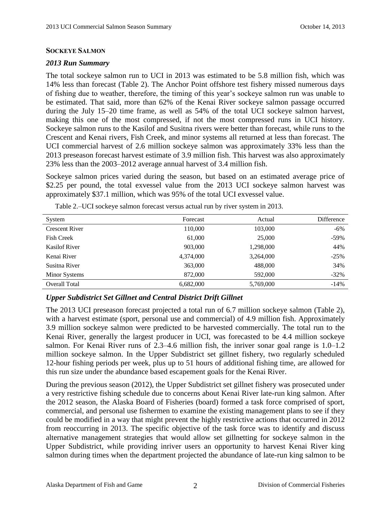#### **SOCKEYE SALMON**

#### *2013 Run Summary*

The total sockeye salmon run to UCI in 2013 was estimated to be 5.8 million fish, which was 14% less than forecast (Table 2). The Anchor Point offshore test fishery missed numerous days of fishing due to weather, therefore, the timing of this year's sockeye salmon run was unable to be estimated. That said, more than 62% of the Kenai River sockeye salmon passage occurred during the July 15–20 time frame, as well as 54% of the total UCI sockeye salmon harvest, making this one of the most compressed, if not the most compressed runs in UCI history. Sockeye salmon runs to the Kasilof and Susitna rivers were better than forecast, while runs to the Crescent and Kenai rivers, Fish Creek, and minor systems all returned at less than forecast. The UCI commercial harvest of 2.6 million sockeye salmon was approximately 33% less than the 2013 preseason forecast harvest estimate of 3.9 million fish. This harvest was also approximately 23% less than the 2003–2012 average annual harvest of 3.4 million fish.

Sockeye salmon prices varied during the season, but based on an estimated average price of \$2.25 per pound, the total exvessel value from the 2013 UCI sockeye salmon harvest was approximately \$37.1 million, which was 95% of the total UCI exvessel value.

| System                | Forecast  | Actual    | Difference |
|-----------------------|-----------|-----------|------------|
| <b>Crescent River</b> | 110,000   | 103,000   | $-6\%$     |
| <b>Fish Creek</b>     | 61,000    | 25,000    | $-59\%$    |
| <b>Kasilof River</b>  | 903,000   | 1,298,000 | 44%        |
| Kenai River           | 4,374,000 | 3,264,000 | $-25%$     |
| Susitna River         | 363,000   | 488,000   | 34%        |
| Minor Systems         | 872,000   | 592,000   | $-32\%$    |
| <b>Overall Total</b>  | 6,682,000 | 5,769,000 | $-14%$     |

Table 2.–UCI sockeye salmon forecast versus actual run by river system in 2013.

# *Upper Subdistrict Set Gillnet and Central District Drift Gillnet*

The 2013 UCI preseason forecast projected a total run of 6.7 million sockeye salmon (Table 2), with a harvest estimate (sport, personal use and commercial) of 4.9 million fish. Approximately 3.9 million sockeye salmon were predicted to be harvested commercially. The total run to the Kenai River, generally the largest producer in UCI, was forecasted to be 4.4 million sockeye salmon. For Kenai River runs of 2.3–4.6 million fish, the inriver sonar goal range is 1.0–1.2 million sockeye salmon. In the Upper Subdistrict set gillnet fishery, two regularly scheduled 12-hour fishing periods per week, plus up to 51 hours of additional fishing time, are allowed for this run size under the abundance based escapement goals for the Kenai River.

During the previous season (2012), the Upper Subdistrict set gillnet fishery was prosecuted under a very restrictive fishing schedule due to concerns about Kenai River late-run king salmon. After the 2012 season, the Alaska Board of Fisheries (board) formed a task force comprised of sport, commercial, and personal use fishermen to examine the existing management plans to see if they could be modified in a way that might prevent the highly restrictive actions that occurred in 2012 from reoccurring in 2013. The specific objective of the task force was to identify and discuss alternative management strategies that would allow set gillnetting for sockeye salmon in the Upper Subdistrict, while providing inriver users an opportunity to harvest Kenai River king salmon during times when the department projected the abundance of late-run king salmon to be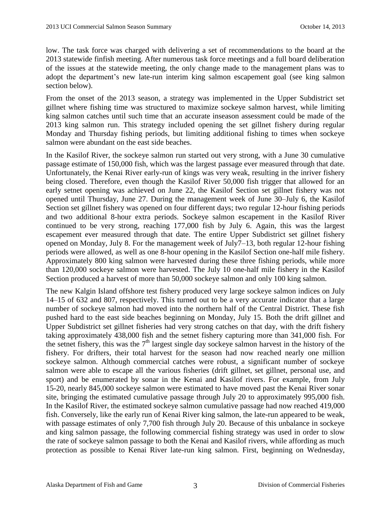low. The task force was charged with delivering a set of recommendations to the board at the 2013 statewide finfish meeting. After numerous task force meetings and a full board deliberation of the issues at the statewide meeting, the only change made to the management plans was to adopt the department's new late-run interim king salmon escapement goal (see king salmon section below).

From the onset of the 2013 season, a strategy was implemented in the Upper Subdistrict set gillnet where fishing time was structured to maximize sockeye salmon harvest, while limiting king salmon catches until such time that an accurate inseason assessment could be made of the 2013 king salmon run. This strategy included opening the set gillnet fishery during regular Monday and Thursday fishing periods, but limiting additional fishing to times when sockeye salmon were abundant on the east side beaches.

In the Kasilof River, the sockeye salmon run started out very strong, with a June 30 cumulative passage estimate of 150,000 fish, which was the largest passage ever measured through that date. Unfortunately, the Kenai River early-run of kings was very weak, resulting in the inriver fishery being closed. Therefore, even though the Kasilof River 50,000 fish trigger that allowed for an early setnet opening was achieved on June 22, the Kasilof Section set gillnet fishery was not opened until Thursday, June 27. During the management week of June 30–July 6, the Kasilof Section set gillnet fishery was opened on four different days; two regular 12-hour fishing periods and two additional 8-hour extra periods. Sockeye salmon escapement in the Kasilof River continued to be very strong, reaching 177,000 fish by July 6. Again, this was the largest escapement ever measured through that date. The entire Upper Subdistrict set gillnet fishery opened on Monday, July 8. For the management week of July7–13, both regular 12-hour fishing periods were allowed, as well as one 8-hour opening in the Kasilof Section one-half mile fishery. Approximately 800 king salmon were harvested during these three fishing periods, while more than 120,000 sockeye salmon were harvested. The July 10 one-half mile fishery in the Kasilof Section produced a harvest of more than 50,000 sockeye salmon and only 100 king salmon.

The new Kalgin Island offshore test fishery produced very large sockeye salmon indices on July 14–15 of 632 and 807, respectively. This turned out to be a very accurate indicator that a large number of sockeye salmon had moved into the northern half of the Central District. These fish pushed hard to the east side beaches beginning on Monday, July 15. Both the drift gillnet and Upper Subdistrict set gillnet fisheries had very strong catches on that day, with the drift fishery taking approximately 438,000 fish and the setnet fishery capturing more than 341,000 fish. For the setnet fishery, this was the  $7<sup>th</sup>$  largest single day sockeye salmon harvest in the history of the fishery. For drifters, their total harvest for the season had now reached nearly one million sockeye salmon. Although commercial catches were robust, a significant number of sockeye salmon were able to escape all the various fisheries (drift gillnet, set gillnet, personal use, and sport) and be enumerated by sonar in the Kenai and Kasilof rivers. For example, from July 15-20, nearly 845,000 sockeye salmon were estimated to have moved past the Kenai River sonar site, bringing the estimated cumulative passage through July 20 to approximately 995,000 fish. In the Kasilof River, the estimated sockeye salmon cumulative passage had now reached 419,000 fish. Conversely, like the early run of Kenai River king salmon, the late-run appeared to be weak, with passage estimates of only 7,700 fish through July 20. Because of this unbalance in sockeye and king salmon passage, the following commercial fishing strategy was used in order to slow the rate of sockeye salmon passage to both the Kenai and Kasilof rivers, while affording as much protection as possible to Kenai River late-run king salmon. First, beginning on Wednesday,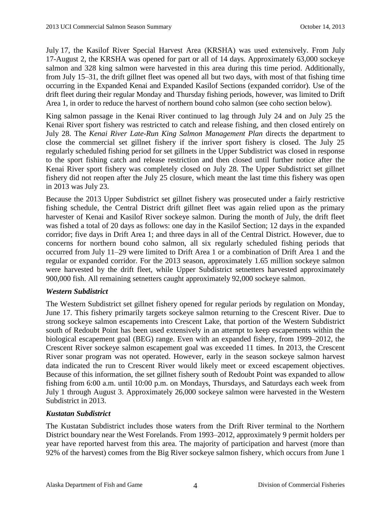July 17, the Kasilof River Special Harvest Area (KRSHA) was used extensively. From July 17-August 2, the KRSHA was opened for part or all of 14 days. Approximately 63,000 sockeye salmon and 328 king salmon were harvested in this area during this time period. Additionally, from July 15–31, the drift gillnet fleet was opened all but two days, with most of that fishing time occurring in the Expanded Kenai and Expanded Kasilof Sections (expanded corridor). Use of the drift fleet during their regular Monday and Thursday fishing periods, however, was limited to Drift Area 1, in order to reduce the harvest of northern bound coho salmon (see coho section below).

King salmon passage in the Kenai River continued to lag through July 24 and on July 25 the Kenai River sport fishery was restricted to catch and release fishing, and then closed entirely on July 28. The *Kenai River Late-Run King Salmon Management Plan* directs the department to close the commercial set gillnet fishery if the inriver sport fishery is closed. The July 25 regularly scheduled fishing period for set gillnets in the Upper Subdistrict was closed in response to the sport fishing catch and release restriction and then closed until further notice after the Kenai River sport fishery was completely closed on July 28. The Upper Subdistrict set gillnet fishery did not reopen after the July 25 closure, which meant the last time this fishery was open in 2013 was July 23.

Because the 2013 Upper Subdistrict set gillnet fishery was prosecuted under a fairly restrictive fishing schedule, the Central District drift gillnet fleet was again relied upon as the primary harvester of Kenai and Kasilof River sockeye salmon. During the month of July, the drift fleet was fished a total of 20 days as follows: one day in the Kasilof Section; 12 days in the expanded corridor; five days in Drift Area 1; and three days in all of the Central District. However, due to concerns for northern bound coho salmon, all six regularly scheduled fishing periods that occurred from July 11–29 were limited to Drift Area 1 or a combination of Drift Area 1 and the regular or expanded corridor. For the 2013 season, approximately 1.65 million sockeye salmon were harvested by the drift fleet, while Upper Subdistrict setnetters harvested approximately 900,000 fish. All remaining setnetters caught approximately 92,000 sockeye salmon.

# *Western Subdistrict*

The Western Subdistrict set gillnet fishery opened for regular periods by regulation on Monday, June 17. This fishery primarily targets sockeye salmon returning to the Crescent River. Due to strong sockeye salmon escapements into Crescent Lake, that portion of the Western Subdistrict south of Redoubt Point has been used extensively in an attempt to keep escapements within the biological escapement goal (BEG) range. Even with an expanded fishery, from 1999–2012, the Crescent River sockeye salmon escapement goal was exceeded 11 times. In 2013, the Crescent River sonar program was not operated. However, early in the season sockeye salmon harvest data indicated the run to Crescent River would likely meet or exceed escapement objectives. Because of this information, the set gillnet fishery south of Redoubt Point was expanded to allow fishing from 6:00 a.m. until 10:00 p.m. on Mondays, Thursdays, and Saturdays each week from July 1 through August 3. Approximately 26,000 sockeye salmon were harvested in the Western Subdistrict in 2013.

# *Kustatan Subdistrict*

The Kustatan Subdistrict includes those waters from the Drift River terminal to the Northern District boundary near the West Forelands. From 1993–2012, approximately 9 permit holders per year have reported harvest from this area. The majority of participation and harvest (more than 92% of the harvest) comes from the Big River sockeye salmon fishery, which occurs from June 1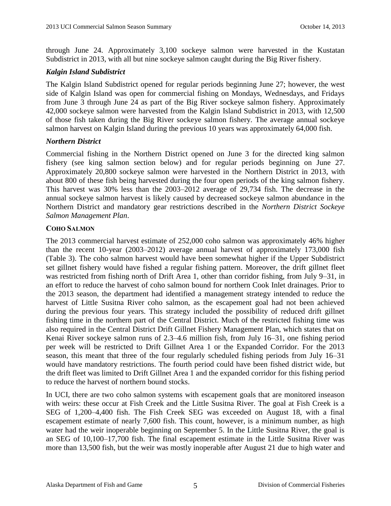through June 24. Approximately 3,100 sockeye salmon were harvested in the Kustatan Subdistrict in 2013, with all but nine sockeye salmon caught during the Big River fishery.

#### *Kalgin Island Subdistrict*

The Kalgin Island Subdistrict opened for regular periods beginning June 27; however, the west side of Kalgin Island was open for commercial fishing on Mondays, Wednesdays, and Fridays from June 3 through June 24 as part of the Big River sockeye salmon fishery. Approximately 42,000 sockeye salmon were harvested from the Kalgin Island Subdistrict in 2013, with 12,500 of those fish taken during the Big River sockeye salmon fishery. The average annual sockeye salmon harvest on Kalgin Island during the previous 10 years was approximately 64,000 fish.

#### *Northern District*

Commercial fishing in the Northern District opened on June 3 for the directed king salmon fishery (see king salmon section below) and for regular periods beginning on June 27. Approximately 20,800 sockeye salmon were harvested in the Northern District in 2013, with about 800 of these fish being harvested during the four open periods of the king salmon fishery. This harvest was 30% less than the 2003–2012 average of 29,734 fish. The decrease in the annual sockeye salmon harvest is likely caused by decreased sockeye salmon abundance in the Northern District and mandatory gear restrictions described in the *Northern District Sockeye Salmon Management Plan*.

#### **COHO SALMON**

The 2013 commercial harvest estimate of 252,000 coho salmon was approximately 46% higher than the recent 10-year (2003–2012) average annual harvest of approximately 173,000 fish (Table 3). The coho salmon harvest would have been somewhat higher if the Upper Subdistrict set gillnet fishery would have fished a regular fishing pattern. Moreover, the drift gillnet fleet was restricted from fishing north of Drift Area 1, other than corridor fishing, from July 9–31, in an effort to reduce the harvest of coho salmon bound for northern Cook Inlet drainages. Prior to the 2013 season, the department had identified a management strategy intended to reduce the harvest of Little Susitna River coho salmon, as the escapement goal had not been achieved during the previous four years. This strategy included the possibility of reduced drift gillnet fishing time in the northern part of the Central District. Much of the restricted fishing time was also required in the Central District Drift Gillnet Fishery Management Plan, which states that on Kenai River sockeye salmon runs of 2.3–4.6 million fish, from July 16–31, one fishing period per week will be restricted to Drift Gillnet Area 1 or the Expanded Corridor. For the 2013 season, this meant that three of the four regularly scheduled fishing periods from July 16–31 would have mandatory restrictions. The fourth period could have been fished district wide, but the drift fleet was limited to Drift Gillnet Area 1 and the expanded corridor for this fishing period to reduce the harvest of northern bound stocks.

In UCI, there are two coho salmon systems with escapement goals that are monitored inseason with weirs: these occur at Fish Creek and the Little Susitna River. The goal at Fish Creek is a SEG of 1,200–4,400 fish. The Fish Creek SEG was exceeded on August 18, with a final escapement estimate of nearly 7,600 fish. This count, however, is a minimum number, as high water had the weir inoperable beginning on September 5. In the Little Susitna River, the goal is an SEG of 10,100–17,700 fish. The final escapement estimate in the Little Susitna River was more than 13,500 fish, but the weir was mostly inoperable after August 21 due to high water and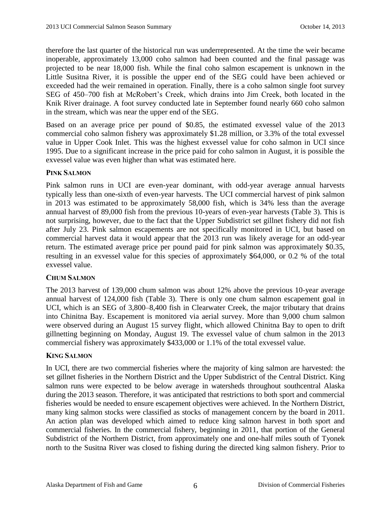therefore the last quarter of the historical run was underrepresented. At the time the weir became inoperable, approximately 13,000 coho salmon had been counted and the final passage was projected to be near 18,000 fish. While the final coho salmon escapement is unknown in the Little Susitna River, it is possible the upper end of the SEG could have been achieved or exceeded had the weir remained in operation. Finally, there is a coho salmon single foot survey SEG of 450–700 fish at McRobert's Creek, which drains into Jim Creek, both located in the Knik River drainage. A foot survey conducted late in September found nearly 660 coho salmon in the stream, which was near the upper end of the SEG.

Based on an average price per pound of \$0.85, the estimated exvessel value of the 2013 commercial coho salmon fishery was approximately \$1.28 million, or 3.3% of the total exvessel value in Upper Cook Inlet. This was the highest exvessel value for coho salmon in UCI since 1995. Due to a significant increase in the price paid for coho salmon in August, it is possible the exvessel value was even higher than what was estimated here.

#### **PINK SALMON**

Pink salmon runs in UCI are even-year dominant, with odd-year average annual harvests typically less than one-sixth of even-year harvests. The UCI commercial harvest of pink salmon in 2013 was estimated to be approximately 58,000 fish, which is 34% less than the average annual harvest of 89,000 fish from the previous 10-years of even-year harvests (Table 3). This is not surprising, however, due to the fact that the Upper Subdistrict set gillnet fishery did not fish after July 23. Pink salmon escapements are not specifically monitored in UCI, but based on commercial harvest data it would appear that the 2013 run was likely average for an odd-year return. The estimated average price per pound paid for pink salmon was approximately \$0.35, resulting in an exvessel value for this species of approximately \$64,000, or 0.2 % of the total exvessel value.

#### **CHUM SALMON**

The 2013 harvest of 139,000 chum salmon was about 12% above the previous 10-year average annual harvest of 124,000 fish (Table 3). There is only one chum salmon escapement goal in UCI, which is an SEG of 3,800–8,400 fish in Clearwater Creek, the major tributary that drains into Chinitna Bay. Escapement is monitored via aerial survey. More than 9,000 chum salmon were observed during an August 15 survey flight, which allowed Chinitna Bay to open to drift gillnetting beginning on Monday, August 19. The exvessel value of chum salmon in the 2013 commercial fishery was approximately \$433,000 or 1.1% of the total exvessel value.

# **KING SALMON**

In UCI, there are two commercial fisheries where the majority of king salmon are harvested: the set gillnet fisheries in the Northern District and the Upper Subdistrict of the Central District. King salmon runs were expected to be below average in watersheds throughout southcentral Alaska during the 2013 season. Therefore, it was anticipated that restrictions to both sport and commercial fisheries would be needed to ensure escapement objectives were achieved. In the Northern District, many king salmon stocks were classified as stocks of management concern by the board in 2011. An action plan was developed which aimed to reduce king salmon harvest in both sport and commercial fisheries. In the commercial fishery, beginning in 2011, that portion of the General Subdistrict of the Northern District, from approximately one and one-half miles south of Tyonek north to the Susitna River was closed to fishing during the directed king salmon fishery. Prior to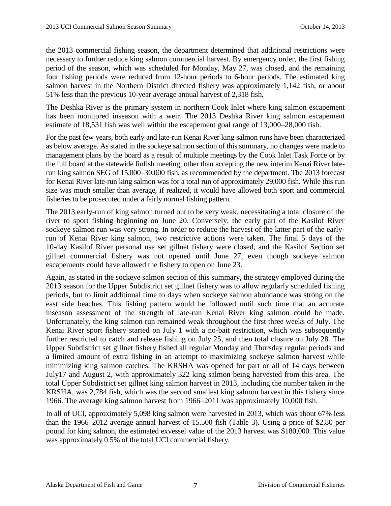the 2013 commercial fishing season, the department determined that additional restrictions were necessary to further reduce king salmon commercial harvest. By emergency order, the first fishing period of the season, which was scheduled for Monday, May 27, was closed, and the remaining four fishing periods were reduced from 12-hour periods to 6-hour periods. The estimated king salmon harvest in the Northern District directed fishery was approximately 1,142 fish, or about 51% less than the previous 10-year average annual harvest of 2,318 fish.

The Deshka River is the primary system in northern Cook Inlet where king salmon escapement has been monitored inseason with a weir. The 2013 Deshka River king salmon escapement estimate of 18,531 fish was well within the escapement goal range of 13,000–28,000 fish.

For the past few years, both early and late-run Kenai River king salmon runs have been characterized as below average. As stated in the sockeye salmon section of this summary, no changes were made to management plans by the board as a result of multiple meetings by the Cook Inlet Task Force or by the full board at the statewide finfish meeting, other than accepting the new interim Kenai River laterun king salmon SEG of 15,000–30,000 fish, as recommended by the department. The 2013 forecast for Kenai River late-run king salmon was for a total run of approximately 29,000 fish. While this run size was much smaller than average, if realized, it would have allowed both sport and commercial fisheries to be prosecuted under a fairly normal fishing pattern.

The 2013 early-run of king salmon turned out to be very weak, necessitating a total closure of the river to sport fishing beginning on June 20. Conversely, the early part of the Kasilof River sockeye salmon run was very strong. In order to reduce the harvest of the latter part of the earlyrun of Kenai River king salmon, two restrictive actions were taken. The final 5 days of the 10-day Kasilof River personal use set gillnet fishery were closed, and the Kasilof Section set gillnet commercial fishery was not opened until June 27, even though sockeye salmon escapements could have allowed the fishery to open on June 23.

Again, as stated in the sockeye salmon section of this summary, the strategy employed during the 2013 season for the Upper Subdistrict set gillnet fishery was to allow regularly scheduled fishing periods, but to limit additional time to days when sockeye salmon abundance was strong on the east side beaches. This fishing pattern would be followed until such time that an accurate inseason assessment of the strength of late-run Kenai River king salmon could be made. Unfortunately, the king salmon run remained weak throughout the first three weeks of July. The Kenai River sport fishery started on July 1 with a no-bait restriction, which was subsequently further restricted to catch and release fishing on July 25, and then total closure on July 28. The Upper Subdistrict set gillnet fishery fished all regular Monday and Thursday regular periods and a limited amount of extra fishing in an attempt to maximizing sockeye salmon harvest while minimizing king salmon catches. The KRSHA was opened for part or all of 14 days between July17 and August 2, with approximately 322 king salmon being harvested from this area. The total Upper Subdistrict set gillnet king salmon harvest in 2013, including the number taken in the KRSHA, was 2,784 fish, which was the second smallest king salmon harvest in this fishery since 1966. The average king salmon harvest from 1966–2011 was approximately 10,000 fish.

In all of UCI, approximately 5,098 king salmon were harvested in 2013, which was about 67% less than the 1966–2012 average annual harvest of 15,500 fish (Table 3). Using a price of \$2.80 per pound for king salmon, the estimated exvessel value of the 2013 harvest was \$180,000. This value was approximately 0.5% of the total UCI commercial fishery.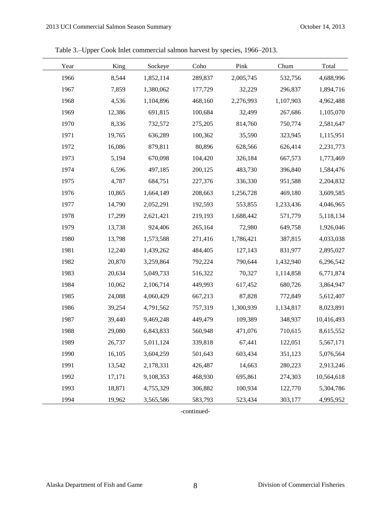| Year | King   | Sockeye   | Coho    | Pink      | Chum      | Total      |
|------|--------|-----------|---------|-----------|-----------|------------|
| 1966 | 8,544  | 1,852,114 | 289,837 | 2,005,745 | 532,756   | 4,688,996  |
| 1967 | 7,859  | 1,380,062 | 177,729 | 32,229    | 296,837   | 1,894,716  |
| 1968 | 4,536  | 1,104,896 | 468,160 | 2,276,993 | 1,107,903 | 4,962,488  |
| 1969 | 12,386 | 691,815   | 100,684 | 32,499    | 267,686   | 1,105,070  |
| 1970 | 8,336  | 732,572   | 275,205 | 814,760   | 750,774   | 2,581,647  |
| 1971 | 19,765 | 636,289   | 100,362 | 35,590    | 323,945   | 1,115,951  |
| 1972 | 16,086 | 879,811   | 80,896  | 628,566   | 626,414   | 2,231,773  |
| 1973 | 5,194  | 670,098   | 104,420 | 326,184   | 667,573   | 1,773,469  |
| 1974 | 6,596  | 497,185   | 200,125 | 483,730   | 396,840   | 1,584,476  |
| 1975 | 4,787  | 684,751   | 227,376 | 336,330   | 951,588   | 2,204,832  |
| 1976 | 10,865 | 1,664,149 | 208,663 | 1,256,728 | 469,180   | 3,609,585  |
| 1977 | 14,790 | 2,052,291 | 192,593 | 553,855   | 1,233,436 | 4,046,965  |
| 1978 | 17,299 | 2,621,421 | 219,193 | 1,688,442 | 571,779   | 5,118,134  |
| 1979 | 13,738 | 924,406   | 265,164 | 72,980    | 649,758   | 1,926,046  |
| 1980 | 13,798 | 1,573,588 | 271,416 | 1,786,421 | 387,815   | 4,033,038  |
| 1981 | 12,240 | 1,439,262 | 484,405 | 127,143   | 831,977   | 2,895,027  |
| 1982 | 20,870 | 3,259,864 | 792,224 | 790,644   | 1,432,940 | 6,296,542  |
| 1983 | 20,634 | 5,049,733 | 516,322 | 70,327    | 1,114,858 | 6,771,874  |
| 1984 | 10,062 | 2,106,714 | 449,993 | 617,452   | 680,726   | 3,864,947  |
| 1985 | 24,088 | 4,060,429 | 667,213 | 87,828    | 772,849   | 5,612,407  |
| 1986 | 39,254 | 4,791,562 | 757,319 | 1,300,939 | 1,134,817 | 8,023,891  |
| 1987 | 39,440 | 9,469,248 | 449,479 | 109,389   | 348,937   | 10,416,493 |
| 1988 | 29,080 | 6,843,833 | 560,948 | 471,076   | 710,615   | 8,615,552  |
| 1989 | 26,737 | 5,011,124 | 339,818 | 67,441    | 122,051   | 5,567,171  |
| 1990 | 16,105 | 3,604,259 | 501,643 | 603,434   | 351,123   | 5,076,564  |
| 1991 | 13,542 | 2,178,331 | 426,487 | 14,663    | 280,223   | 2,913,246  |
| 1992 | 17,171 | 9,108,353 | 468,930 | 695,861   | 274,303   | 10,564,618 |
| 1993 | 18,871 | 4,755,329 | 306,882 | 100,934   | 122,770   | 5,304,786  |
| 1994 | 19,962 | 3,565,586 | 583,793 | 523,434   | 303,177   | 4,995,952  |

Table 3.–Upper Cook Inlet commercial salmon harvest by species, 1966–2013.

-continued-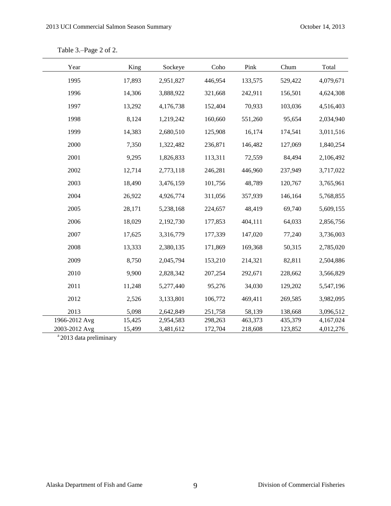| Year          | King   | Sockeye   | Coho    | Pink    | Chum    | Total     |
|---------------|--------|-----------|---------|---------|---------|-----------|
| 1995          | 17,893 | 2,951,827 | 446,954 | 133,575 | 529,422 | 4,079,671 |
| 1996          | 14,306 | 3,888,922 | 321,668 | 242,911 | 156,501 | 4,624,308 |
| 1997          | 13,292 | 4,176,738 | 152,404 | 70,933  | 103,036 | 4,516,403 |
| 1998          | 8,124  | 1,219,242 | 160,660 | 551,260 | 95,654  | 2,034,940 |
| 1999          | 14,383 | 2,680,510 | 125,908 | 16,174  | 174,541 | 3,011,516 |
| 2000          | 7,350  | 1,322,482 | 236,871 | 146,482 | 127,069 | 1,840,254 |
| 2001          | 9,295  | 1,826,833 | 113,311 | 72,559  | 84,494  | 2,106,492 |
| 2002          | 12,714 | 2,773,118 | 246,281 | 446,960 | 237,949 | 3,717,022 |
| 2003          | 18,490 | 3,476,159 | 101,756 | 48,789  | 120,767 | 3,765,961 |
| 2004          | 26,922 | 4,926,774 | 311,056 | 357,939 | 146,164 | 5,768,855 |
| 2005          | 28,171 | 5,238,168 | 224,657 | 48,419  | 69,740  | 5,609,155 |
| 2006          | 18,029 | 2,192,730 | 177,853 | 404,111 | 64,033  | 2,856,756 |
| 2007          | 17,625 | 3,316,779 | 177,339 | 147,020 | 77,240  | 3,736,003 |
| 2008          | 13,333 | 2,380,135 | 171,869 | 169,368 | 50,315  | 2,785,020 |
| 2009          | 8,750  | 2,045,794 | 153,210 | 214,321 | 82,811  | 2,504,886 |
| 2010          | 9,900  | 2,828,342 | 207,254 | 292,671 | 228,662 | 3,566,829 |
| 2011          | 11,248 | 5,277,440 | 95,276  | 34,030  | 129,202 | 5,547,196 |
| 2012          | 2,526  | 3,133,801 | 106,772 | 469,411 | 269,585 | 3,982,095 |
| 2013          | 5,098  | 2,642,849 | 251,758 | 58,139  | 138,668 | 3,096,512 |
| 1966-2012 Avg | 15,425 | 2,954,583 | 298,263 | 463,373 | 435,379 | 4,167,024 |
| 2003-2012 Avg | 15,499 | 3,481,612 | 172,704 | 218,608 | 123,852 | 4,012,276 |

Table 3.–Page 2 of 2.

<sup>a</sup> 2013 data preliminary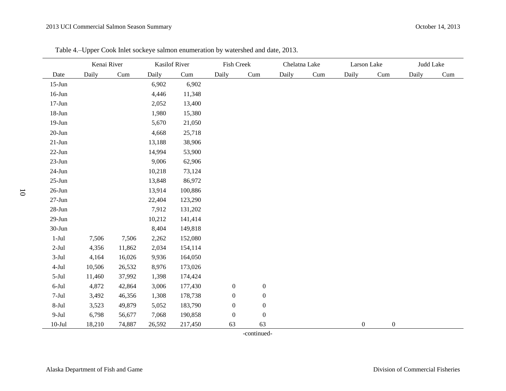|            | Kenai River | Kasilof River |        | Fish Creek                  |                  | Chelatna Lake    |       | Larson Lake |                  | Judd Lake        |       |     |
|------------|-------------|---------------|--------|-----------------------------|------------------|------------------|-------|-------------|------------------|------------------|-------|-----|
| Date       | Daily       | Cum           | Daily  | $\mathop{\rm Cum}\nolimits$ | Daily            | Cum              | Daily | Cum         | Daily            | Cum              | Daily | Cum |
| $15-Jun$   |             |               | 6,902  | 6,902                       |                  |                  |       |             |                  |                  |       |     |
| $16$ -Jun  |             |               | 4,446  | 11,348                      |                  |                  |       |             |                  |                  |       |     |
| $17-Jun$   |             |               | 2,052  | 13,400                      |                  |                  |       |             |                  |                  |       |     |
| $18 - Jun$ |             |               | 1,980  | 15,380                      |                  |                  |       |             |                  |                  |       |     |
| $19-Jun$   |             |               | 5,670  | 21,050                      |                  |                  |       |             |                  |                  |       |     |
| $20 - Jun$ |             |               | 4,668  | 25,718                      |                  |                  |       |             |                  |                  |       |     |
| $21-Jun$   |             |               | 13,188 | 38,906                      |                  |                  |       |             |                  |                  |       |     |
| $22-Jun$   |             |               | 14,994 | 53,900                      |                  |                  |       |             |                  |                  |       |     |
| $23-Jun$   |             |               | 9,006  | 62,906                      |                  |                  |       |             |                  |                  |       |     |
| $24-Jun$   |             |               | 10,218 | 73,124                      |                  |                  |       |             |                  |                  |       |     |
| $25 - Jun$ |             |               | 13,848 | 86,972                      |                  |                  |       |             |                  |                  |       |     |
| $26$ -Jun  |             |               | 13,914 | 100,886                     |                  |                  |       |             |                  |                  |       |     |
| $27 - Jun$ |             |               | 22,404 | 123,290                     |                  |                  |       |             |                  |                  |       |     |
| $28 - Jun$ |             |               | 7,912  | 131,202                     |                  |                  |       |             |                  |                  |       |     |
| $29-Jun$   |             |               | 10,212 | 141,414                     |                  |                  |       |             |                  |                  |       |     |
| $30-J$ un  |             |               | 8,404  | 149,818                     |                  |                  |       |             |                  |                  |       |     |
| $1-Jul$    | 7,506       | 7,506         | 2,262  | 152,080                     |                  |                  |       |             |                  |                  |       |     |
| $2-Jul$    | 4,356       | 11,862        | 2,034  | 154,114                     |                  |                  |       |             |                  |                  |       |     |
| $3-Jul$    | 4,164       | 16,026        | 9,936  | 164,050                     |                  |                  |       |             |                  |                  |       |     |
| $4-Jul$    | 10,506      | 26,532        | 8,976  | 173,026                     |                  |                  |       |             |                  |                  |       |     |
| $5-Jul$    | 11,460      | 37,992        | 1,398  | 174,424                     |                  |                  |       |             |                  |                  |       |     |
| $6-Jul$    | 4,872       | 42,864        | 3,006  | 177,430                     | $\boldsymbol{0}$ | $\boldsymbol{0}$ |       |             |                  |                  |       |     |
| $7-Jul$    | 3,492       | 46,356        | 1,308  | 178,738                     | $\boldsymbol{0}$ | $\boldsymbol{0}$ |       |             |                  |                  |       |     |
| $8-Jul$    | 3,523       | 49,879        | 5,052  | 183,790                     | $\boldsymbol{0}$ | $\boldsymbol{0}$ |       |             |                  |                  |       |     |
| $9-Jul$    | 6,798       | 56,677        | 7,068  | 190,858                     | $\boldsymbol{0}$ | $\boldsymbol{0}$ |       |             |                  |                  |       |     |
| $10 -$ Jul | 18,210      | 74,887        | 26,592 | 217,450                     | 63               | 63               |       |             | $\boldsymbol{0}$ | $\boldsymbol{0}$ |       |     |

Table 4.–Upper Cook Inlet sockeye salmon enumeration by watershed and date, 2013.

-continued-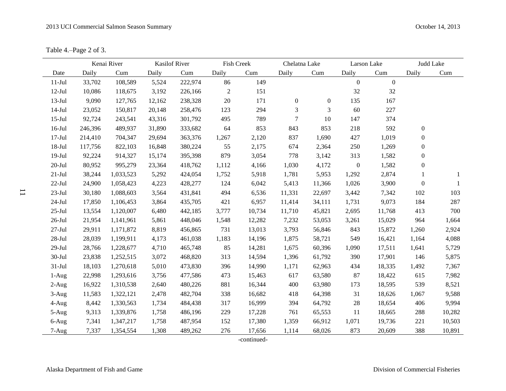Table 4.–Page 2 of 3.

|           |         | Kenai River | <b>Kasilof River</b> |         | Fish Creek       |        | Chelatna Lake    |                | Larson Lake      |              | Judd Lake        |        |
|-----------|---------|-------------|----------------------|---------|------------------|--------|------------------|----------------|------------------|--------------|------------------|--------|
| Date      | Daily   | Cum         | Daily                | Cum     | Daily            | Cum    | Daily            | Cum            | Daily            | Cum          | Daily            | Cum    |
| $11-Jul$  | 33,702  | 108,589     | 5,524                | 222,974 | 86               | 149    |                  |                | $\mathbf{0}$     | $\mathbf{0}$ |                  |        |
| $12-Jul$  | 10,086  | 118,675     | 3,192                | 226,166 | $\boldsymbol{2}$ | 151    |                  |                | 32               | $32\,$       |                  |        |
| $13-Jul$  | 9,090   | 127,765     | 12,162               | 238,328 | $20\,$           | 171    | $\boldsymbol{0}$ | $\overline{0}$ | 135              | 167          |                  |        |
| $14-Jul$  | 23,052  | 150,817     | 20,148               | 258,476 | 123              | 294    | 3                | 3              | 60               | 227          |                  |        |
| $15$ -Jul | 92,724  | 243,541     | 43,316               | 301,792 | 495              | 789    | $\tau$           | 10             | 147              | 374          |                  |        |
| $16$ -Jul | 246,396 | 489,937     | 31,890               | 333,682 | 64               | 853    | 843              | 853            | 218              | 592          | $\boldsymbol{0}$ |        |
| $17-Jul$  | 214,410 | 704,347     | 29,694               | 363,376 | 1,267            | 2,120  | 837              | 1,690          | 427              | 1,019        | $\boldsymbol{0}$ |        |
| $18-Jul$  | 117,756 | 822,103     | 16,848               | 380,224 | 55               | 2,175  | 674              | 2,364          | 250              | 1,269        | $\boldsymbol{0}$ |        |
| $19-Jul$  | 92,224  | 914,327     | 15,174               | 395,398 | 879              | 3,054  | 778              | 3,142          | 313              | 1,582        | $\boldsymbol{0}$ |        |
| $20$ -Jul | 80,952  | 995,279     | 23,364               | 418,762 | 1,112            | 4,166  | 1,030            | 4,172          | $\boldsymbol{0}$ | 1,582        | $\boldsymbol{0}$ |        |
| $21-Jul$  | 38,244  | 1,033,523   | 5,292                | 424,054 | 1,752            | 5,918  | 1,781            | 5,953          | 1,292            | 2,874        | $\mathbf{1}$     | -1     |
| $22$ -Jul | 24,900  | 1,058,423   | 4,223                | 428,277 | 124              | 6,042  | 5,413            | 11,366         | 1,026            | 3,900        | $\boldsymbol{0}$ |        |
| $23-Jul$  | 30,180  | 1,088,603   | 3,564                | 431,841 | 494              | 6,536  | 11,331           | 22,697         | 3,442            | 7,342        | 102              | 103    |
| $24-Jul$  | 17,850  | 1,106,453   | 3,864                | 435,705 | 421              | 6,957  | 11,414           | 34,111         | 1,731            | 9,073        | 184              | 287    |
| $25$ -Jul | 13,554  | 1,120,007   | 6,480                | 442,185 | 3,777            | 10,734 | 11,710           | 45,821         | 2,695            | 11,768       | 413              | 700    |
| $26$ -Jul | 21,954  | 1,141,961   | 5,861                | 448,046 | 1,548            | 12,282 | 7,232            | 53,053         | 3,261            | 15,029       | 964              | 1,664  |
| $27-Jul$  | 29,911  | 1,171,872   | 8,819                | 456,865 | 731              | 13,013 | 3,793            | 56,846         | 843              | 15,872       | 1,260            | 2,924  |
| $28-Jul$  | 28,039  | 1,199,911   | 4,173                | 461,038 | 1,183            | 14,196 | 1,875            | 58,721         | 549              | 16,421       | 1,164            | 4,088  |
| $29-Jul$  | 28,766  | 1,228,677   | 4,710                | 465,748 | 85               | 14,281 | 1,675            | 60,396         | 1,090            | 17,511       | 1,641            | 5,729  |
| $30-Jul$  | 23,838  | 1,252,515   | 3,072                | 468,820 | 313              | 14,594 | 1,396            | 61,792         | 390              | 17,901       | 146              | 5,875  |
| $31-Jul$  | 18,103  | 1,270,618   | 5,010                | 473,830 | 396              | 14,990 | 1,171            | 62,963         | 434              | 18,335       | 1,492            | 7,367  |
| $1-Aug$   | 22,998  | 1,293,616   | 3,756                | 477,586 | 473              | 15,463 | 617              | 63,580         | 87               | 18,422       | 615              | 7,982  |
| $2-Aug$   | 16,922  | 1,310,538   | 2,640                | 480,226 | 881              | 16,344 | 400              | 63,980         | 173              | 18,595       | 539              | 8,521  |
| $3-Aug$   | 11,583  | 1,322,121   | 2,478                | 482,704 | 338              | 16,682 | 418              | 64,398         | 31               | 18,626       | 1,067            | 9,588  |
| 4-Aug     | 8,442   | 1,330,563   | 1,734                | 484,438 | 317              | 16,999 | 394              | 64,792         | 28               | 18,654       | 406              | 9,994  |
| 5-Aug     | 9,313   | 1,339,876   | 1,758                | 486,196 | 229              | 17,228 | 761              | 65,553         | 11               | 18,665       | 288              | 10,282 |
| 6-Aug     | 7,341   | 1,347,217   | 1,758                | 487,954 | 152              | 17,380 | 1,359            | 66,912         | 1,071            | 19,736       | 221              | 10,503 |
| $7-Aug$   | 7,337   | 1,354,554   | 1,308                | 489,262 | 276              | 17,656 | 1,114            | 68,026         | 873              | 20,609       | 388              | 10,891 |

-continued-